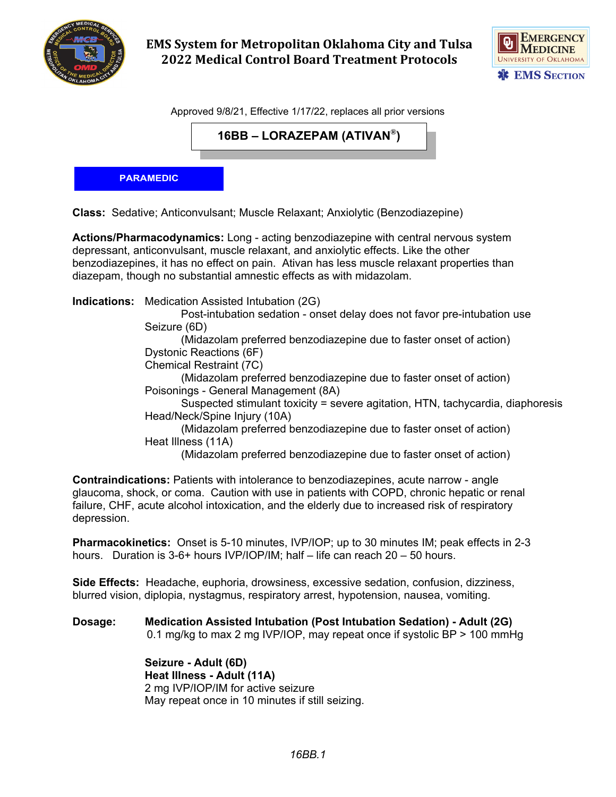

**EMS System for Metropolitan Oklahoma City and Tulsa 2022 Medical Control Board Treatment Protocols**



Approved 9/8/21, Effective 1/17/22, replaces all prior versions

**16BB – LORAZEPAM (ATIVAN®)**

## **PARAMEDIC**

**Class:** Sedative; Anticonvulsant; Muscle Relaxant; Anxiolytic (Benzodiazepine)

**Actions/Pharmacodynamics:** Long - acting benzodiazepine with central nervous system depressant, anticonvulsant, muscle relaxant, and anxiolytic effects. Like the other benzodiazepines, it has no effect on pain. Ativan has less muscle relaxant properties than diazepam, though no substantial amnestic effects as with midazolam.

**Indications:** Medication Assisted Intubation (2G)

Post-intubation sedation - onset delay does not favor pre-intubation use Seizure (6D)

(Midazolam preferred benzodiazepine due to faster onset of action) Dystonic Reactions (6F)

Chemical Restraint (7C)

(Midazolam preferred benzodiazepine due to faster onset of action) Poisonings - General Management (8A)

Suspected stimulant toxicity = severe agitation, HTN, tachycardia, diaphoresis Head/Neck/Spine Injury (10A)

(Midazolam preferred benzodiazepine due to faster onset of action) Heat Illness (11A)

(Midazolam preferred benzodiazepine due to faster onset of action)

**Contraindications:** Patients with intolerance to benzodiazepines, acute narrow - angle glaucoma, shock, or coma. Caution with use in patients with COPD, chronic hepatic or renal failure, CHF, acute alcohol intoxication, and the elderly due to increased risk of respiratory depression.

**Pharmacokinetics:** Onset is 5-10 minutes, IVP/IOP; up to 30 minutes IM; peak effects in 2-3 hours. Duration is 3-6+ hours IVP/IOP/IM; half – life can reach 20 – 50 hours.

**Side Effects:** Headache, euphoria, drowsiness, excessive sedation, confusion, dizziness, blurred vision, diplopia, nystagmus, respiratory arrest, hypotension, nausea, vomiting.

**Dosage: Medication Assisted Intubation (Post Intubation Sedation) - Adult (2G)** 0.1 mg/kg to max 2 mg IVP/IOP, may repeat once if systolic BP > 100 mmHg

> **Seizure - Adult (6D) Heat Illness - Adult (11A)** 2 mg IVP/IOP/IM for active seizure May repeat once in 10 minutes if still seizing.